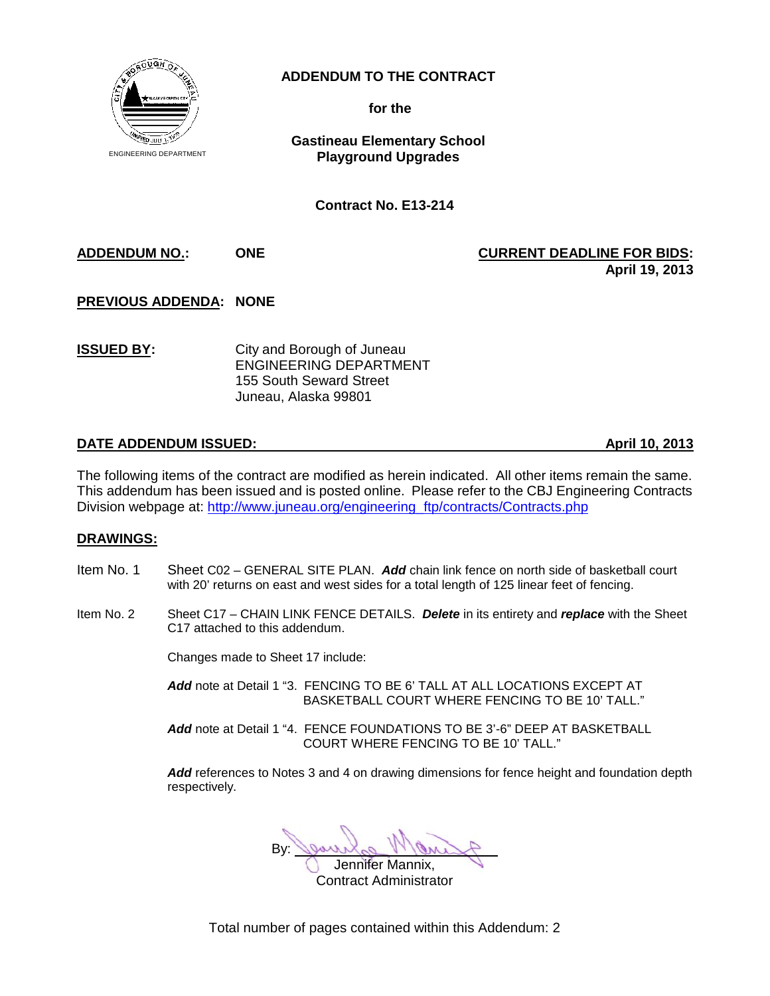

## **ADDENDUM TO THE CONTRACT**

**for the**

**Gastineau Elementary School Playground Upgrades**

**Contract No. E13-214**

**ADDENDUM NO.: ONE CURRENT DEADLINE FOR BIDS: April 19, 2013**

**PREVIOUS ADDENDA: NONE**

**ISSUED BY:** City and Borough of Juneau ENGINEERING DEPARTMENT 155 South Seward Street Juneau, Alaska 99801

## **DATE ADDENDUM ISSUED: April 10, 2013**

The following items of the contract are modified as herein indicated. All other items remain the same. This addendum has been issued and is posted online. Please refer to the CBJ Engineering Contracts Division webpage at: http://www.juneau.org/engineering\_ftp/contracts/Contracts.php

## **DRAWINGS:**

- Item No. 1 Sheet C02 GENERAL SITE PLAN. *Add* chain link fence on north side of basketball court with 20' returns on east and west sides for a total length of 125 linear feet of fencing.
- Item No. 2 Sheet C17 CHAIN LINK FENCE DETAILS. *Delete* in its entirety and *replace* with the Sheet C17 attached to this addendum.

Changes made to Sheet 17 include:

*Add* note at Detail 1 "3. FENCING TO BE 6' TALL AT ALL LOCATIONS EXCEPT AT BASKETBALL COURT WHERE FENCING TO BE 10' TALL."

*Add* note at Detail 1 "4. FENCE FOUNDATIONS TO BE 3'-6" DEEP AT BASKETBALL COURT WHERE FENCING TO BE 10' TALL."

*Add* references to Notes 3 and 4 on drawing dimensions for fence height and foundation depth respectively.

 $By:  $\mathbb{Q}$$ 

Jennifer Mannix, Contract Administrator

Total number of pages contained within this Addendum: 2